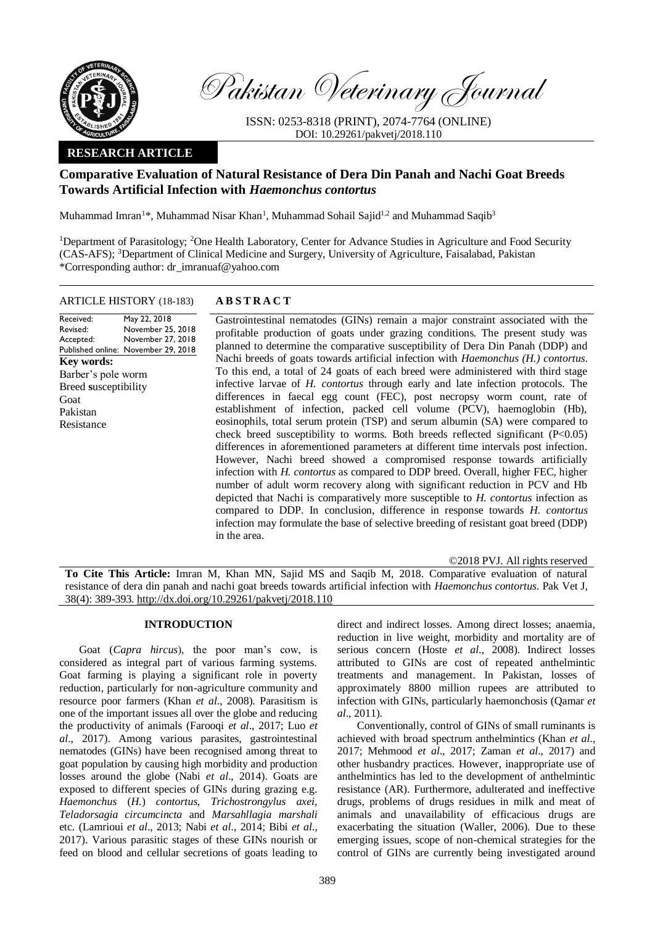

Pakistan Veterinary Journal

ISSN: 0253-8318 (PRINT), 2074-7764 (ONLINE) DOI: 10.29261/pakvetj/2018.110

## **RESEARCH ARTICLE**

# **Comparative Evaluation of Natural Resistance of Dera Din Panah and Nachi Goat Breeds Towards Artificial Infection with** *Haemonchus contortus*

Muhammad Imran<sup>1\*</sup>, Muhammad Nisar Khan<sup>1</sup>, Muhammad Sohail Sajid<sup>1,2</sup> and Muhammad Saqib<sup>3</sup>

<sup>1</sup>Department of Parasitology; <sup>2</sup>One Health Laboratory, Center for Advance Studies in Agriculture and Food Security (CAS-AFS); <sup>3</sup>Department of Clinical Medicine and Surgery, University of Agriculture, Faisalabad, Pakistan \*Corresponding author: dr\_imranuaf@yahoo.com

### ARTICLE HISTORY (18-183) **A B S T R A C T**

Received: Revised: Accepted: Published online: November 29, 2018 May 22, 2018 November 25, 2018 November 27, 2018 **Key words:**  Barber's pole worm Breed **s**usceptibility Goat Pakistan Resistance

Gastrointestinal nematodes (GINs) remain a major constraint associated with the profitable production of goats under grazing conditions. The present study was planned to determine the comparative susceptibility of Dera Din Panah (DDP) and Nachi breeds of goats towards artificial infection with *Haemonchus (H.) contortus*. To this end, a total of 24 goats of each breed were administered with third stage infective larvae of *H. contortus* through early and late infection protocols. The differences in faecal egg count (FEC), post necropsy worm count, rate of establishment of infection, packed cell volume (PCV), haemoglobin (Hb), eosinophils, total serum protein (TSP) and serum albumin (SA) were compared to check breed susceptibility to worms. Both breeds reflected significant (P<0.05) differences in aforementioned parameters at different time intervals post infection. However, Nachi breed showed a compromised response towards artificially infection with *H. contortus* as compared to DDP breed. Overall, higher FEC, higher number of adult worm recovery along with significant reduction in PCV and Hb depicted that Nachi is comparatively more susceptible to *H. contortus* infection as compared to DDP. In conclusion, difference in response towards *H. contortus* infection may formulate the base of selective breeding of resistant goat breed (DDP) in the area.

©2018 PVJ. All rights reserved

**To Cite This Article:** Imran M, Khan MN, Sajid MS and Saqib M, 2018. Comparative evaluation of natural resistance of dera din panah and nachi goat breeds towards artificial infection with *Haemonchus contortus*. Pak Vet J, 38(4): 389-393[. http://dx.doi.org/10.29261/pakvetj/2018.110](http://pvj.com.pk/pdf-files/38_4/389-393.pdf)

#### **INTRODUCTION**

Goat (*Capra hircus*), the poor man's cow, is considered as integral part of various farming systems. Goat farming is playing a significant role in poverty reduction, particularly for non-agriculture community and resource poor farmers (Khan *et al*., 2008). Parasitism is one of the important issues all over the globe and reducing the productivity of animals (Farooqi *et al*., 2017; Luo *et al*., 2017). Among various parasites, gastrointestinal nematodes (GINs) have been recognised among threat to goat population by causing high morbidity and production losses around the globe (Nabi *et al*., 2014). Goats are exposed to different species of GINs during grazing e.g. *Haemonchus* (*H.*) *contortus, Trichostrongylus axei, Teladorsagia circumcincta* and *Marsahllagia marshali* etc. (Lamrioui *et al*., 2013; Nabi *et al*., 2014; Bibi *et al*., 2017). Various parasitic stages of these GINs nourish or feed on blood and cellular secretions of goats leading to

direct and indirect losses. Among direct losses; anaemia, reduction in live weight, morbidity and mortality are of serious concern (Hoste *et al*., 2008). Indirect losses attributed to GINs are cost of repeated anthelmintic treatments and management. In Pakistan, losses of approximately 8800 million rupees are attributed to infection with GINs, particularly haemonchosis (Qamar *et al*., 2011).

Conventionally, control of GINs of small ruminants is achieved with broad spectrum anthelmintics (Khan *et al*., 2017; Mehmood *et al*., 2017; Zaman *et al*., 2017) and other husbandry practices. However, inappropriate use of anthelmintics has led to the development of anthelmintic resistance (AR). Furthermore, adulterated and ineffective drugs, problems of drugs residues in milk and meat of animals and unavailability of efficacious drugs are exacerbating the situation (Waller, 2006). Due to these emerging issues, scope of non-chemical strategies for the control of GINs are currently being investigated around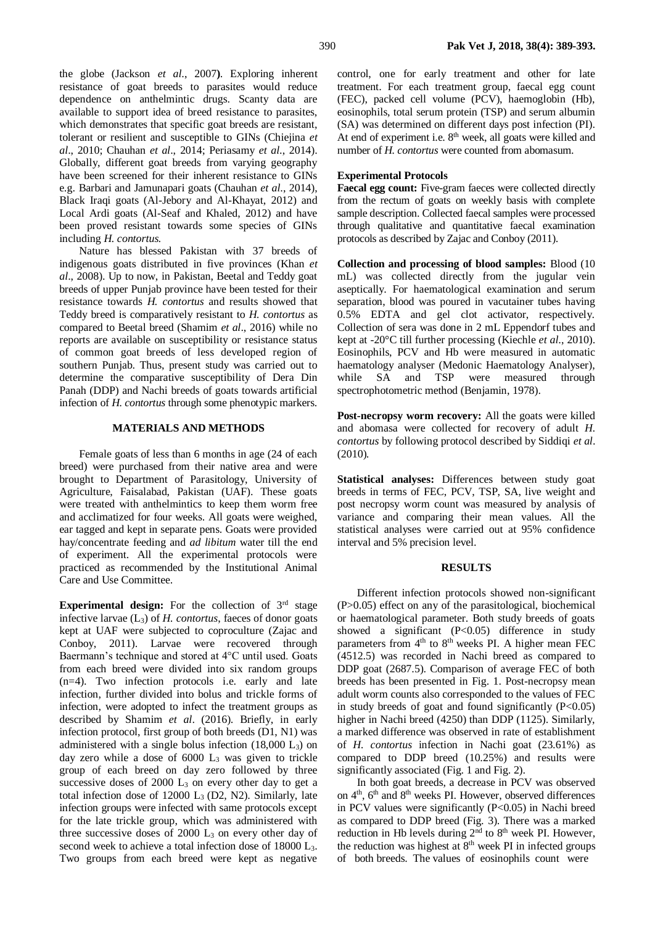the globe (Jackson *et al*., 2007**)**. Exploring inherent resistance of goat breeds to parasites would reduce dependence on anthelmintic drugs. Scanty data are available to support idea of breed resistance to parasites, which demonstrates that specific goat breeds are resistant, tolerant or resilient and susceptible to GINs (Chiejina *et al*., 2010; Chauhan *et al*., 2014; Periasamy *et al*., 2014). Globally, different goat breeds from varying geography have been screened for their inherent resistance to GINs e.g. Barbari and Jamunapari goats (Chauhan *et al*., 2014), Black Iraqi goats (Al-Jebory and Al-Khayat, 2012) and Local Ardi goats (Al-Seaf and Khaled, 2012) and have been proved resistant towards some species of GINs including *H. contortus.*

Nature has blessed Pakistan with 37 breeds of indigenous goats distributed in five provinces (Khan *et al*., 2008). Up to now, in Pakistan, Beetal and Teddy goat breeds of upper Punjab province have been tested for their resistance towards *H. contortus* and results showed that Teddy breed is comparatively resistant to *H. contortus* as compared to Beetal breed (Shamim *et al*., 2016) while no reports are available on susceptibility or resistance status of common goat breeds of less developed region of southern Punjab. Thus, present study was carried out to determine the comparative susceptibility of Dera Din Panah (DDP) and Nachi breeds of goats towards artificial infection of *H. contortus* through some phenotypic markers.

#### **MATERIALS AND METHODS**

Female goats of less than 6 months in age (24 of each breed) were purchased from their native area and were brought to Department of Parasitology, University of Agriculture, Faisalabad, Pakistan (UAF). These goats were treated with anthelmintics to keep them worm free and acclimatized for four weeks. All goats were weighed, ear tagged and kept in separate pens. Goats were provided hay/concentrate feeding and *ad libitum* water till the end of experiment. All the experimental protocols were practiced as recommended by the Institutional Animal Care and Use Committee.

**Experimental design:** For the collection of 3<sup>rd</sup> stage infective larvae (L3) of *H. contortus*, faeces of donor goats kept at UAF were subjected to coproculture (Zajac and Conboy, 2011). Larvae were recovered through Baermann's technique and stored at 4°C until used. Goats from each breed were divided into six random groups (n=4). Two infection protocols i.e. early and late infection, further divided into bolus and trickle forms of infection, were adopted to infect the treatment groups as described by Shamim *et al*. (2016). Briefly, in early infection protocol, first group of both breeds (D1, N1) was administered with a single bolus infection (18,000 L3) on day zero while a dose of  $6000$   $L_3$  was given to trickle group of each breed on day zero followed by three successive doses of  $2000$   $L_3$  on every other day to get a total infection dose of  $12000$  L<sub>3</sub> (D2, N2). Similarly, late infection groups were infected with same protocols except for the late trickle group, which was administered with three successive doses of  $2000$   $L_3$  on every other day of second week to achieve a total infection dose of 18000 L3. Two groups from each breed were kept as negative

control, one for early treatment and other for late treatment. For each treatment group, faecal egg count (FEC), packed cell volume (PCV), haemoglobin (Hb), eosinophils, total serum protein (TSP) and serum albumin (SA) was determined on different days post infection (PI). At end of experiment i.e.  $8<sup>th</sup>$  week, all goats were killed and number of *H. contortus* were counted from abomasum.

#### **Experimental Protocols**

**Faecal egg count:** Five-gram faeces were collected directly from the rectum of goats on weekly basis with complete sample description. Collected faecal samples were processed through qualitative and quantitative faecal examination protocols as described by Zajac and Conboy (2011).

**Collection and processing of blood samples:** Blood (10 mL) was collected directly from the jugular vein aseptically. For haematological examination and serum separation, blood was poured in vacutainer tubes having 0.5% EDTA and gel clot activator, respectively. Collection of sera was done in 2 mL Eppendorf tubes and kept at -20°C till further processing (Kiechle *et al*., 2010). Eosinophils, PCV and Hb were measured in automatic haematology analyser (Medonic Haematology Analyser), while SA and TSP were measured through spectrophotometric method (Benjamin, 1978).

**Post-necropsy worm recovery:** All the goats were killed and abomasa were collected for recovery of adult *H. contortus* by following protocol described by Siddiqi *et al*. (2010)*.* 

**Statistical analyses:** Differences between study goat breeds in terms of FEC, PCV, TSP, SA, live weight and post necropsy worm count was measured by analysis of variance and comparing their mean values. All the statistical analyses were carried out at 95% confidence interval and 5% precision level.

#### **RESULTS**

Different infection protocols showed non-significant (P>0.05) effect on any of the parasitological, biochemical or haematological parameter. Both study breeds of goats showed a significant  $(P<0.05)$  difference in study parameters from 4<sup>th</sup> to 8<sup>th</sup> weeks PI. A higher mean FEC (4512.5) was recorded in Nachi breed as compared to DDP goat (2687.5). Comparison of average FEC of both breeds has been presented in Fig. 1. Post-necropsy mean adult worm counts also corresponded to the values of FEC in study breeds of goat and found significantly  $(P<0.05)$ higher in Nachi breed (4250) than DDP (1125). Similarly, a marked difference was observed in rate of establishment of *H. contortus* infection in Nachi goat (23.61%) as compared to DDP breed (10.25%) and results were significantly associated (Fig. 1 and Fig. 2).

In both goat breeds, a decrease in PCV was observed on  $4<sup>th</sup>$ ,  $6<sup>th</sup>$  and  $8<sup>th</sup>$  weeks PI. However, observed differences in PCV values were significantly  $(P<0.05)$  in Nachi breed as compared to DDP breed (Fig. 3). There was a marked reduction in Hb levels during  $2<sup>nd</sup>$  to  $8<sup>th</sup>$  week PI. However, the reduction was highest at  $8<sup>th</sup>$  week PI in infected groups of both breeds. The values of eosinophils count were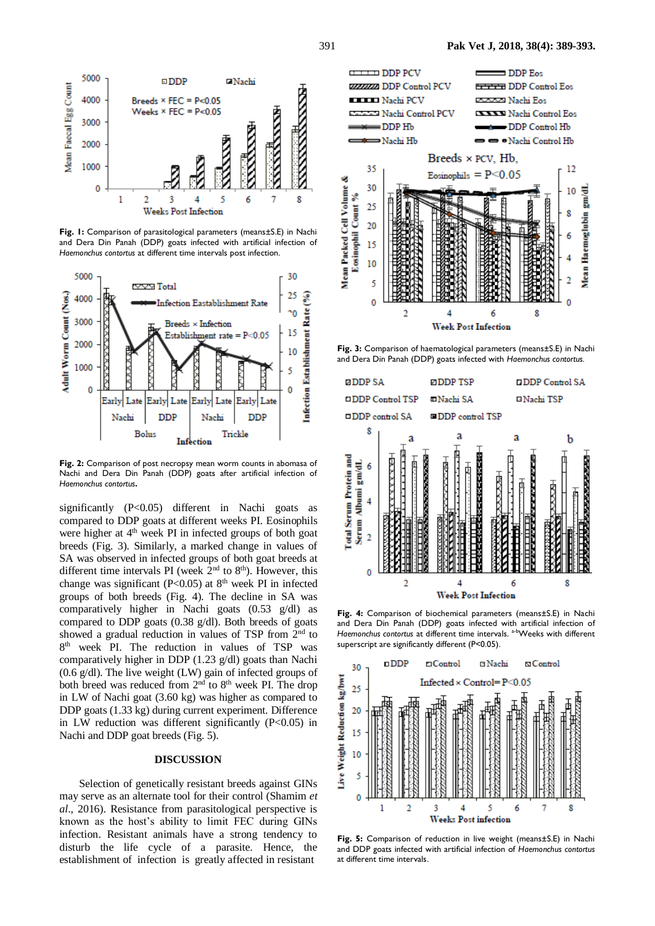

**Fig. 1:** Comparison of parasitological parameters (means±S.E) in Nachi and Dera Din Panah (DDP) goats infected with artificial infection of *Haemonchus contortus* at different time intervals post infection.



**Fig. 2:** Comparison of post necropsy mean worm counts in abomasa of Nachi and Dera Din Panah (DDP) goats after artificial infection of *Haemonchus contortus.*

significantly  $(P<0.05)$  different in Nachi goats as compared to DDP goats at different weeks PI. Eosinophils were higher at  $4<sup>th</sup>$  week PI in infected groups of both goat breeds (Fig. 3). Similarly, a marked change in values of SA was observed in infected groups of both goat breeds at different time intervals PI (week  $2<sup>nd</sup>$  to  $8<sup>th</sup>$ ). However, this change was significant (P<0.05) at  $8<sup>th</sup>$  week PI in infected groups of both breeds (Fig. 4). The decline in SA was comparatively higher in Nachi goats (0.53 g/dl) as compared to DDP goats (0.38 g/dl). Both breeds of goats showed a gradual reduction in values of TSP from 2<sup>nd</sup> to 8 th week PI. The reduction in values of TSP was comparatively higher in DDP (1.23 g/dl) goats than Nachi (0.6 g/dl). The live weight (LW) gain of infected groups of both breed was reduced from 2<sup>nd</sup> to 8<sup>th</sup> week PI. The drop in LW of Nachi goat (3.60 kg) was higher as compared to DDP goats (1.33 kg) during current experiment. Difference in LW reduction was different significantly (P<0.05) in Nachi and DDP goat breeds (Fig. 5).

#### **DISCUSSION**

Selection of genetically resistant breeds against GINs may serve as an alternate tool for their control (Shamim *et al*., 2016). Resistance from parasitological perspective is known as the host's ability to limit FEC during GINs infection. Resistant animals have a strong tendency to disturb the life cycle of a parasite. Hence, the establishment of infection is greatly affected in resistant



**Fig. 3:** Comparison of haematological parameters (means±S.E) in Nachi and Dera Din Panah (DDP) goats infected with *Haemonchus contortus.*



**Fig. 4:** Comparison of biochemical parameters (means±S.E) in Nachi and Dera Din Panah (DDP) goats infected with artificial infection of *Haemonchus contortus* at different time intervals. a-bWeeks with different superscript are significantly different (P<0.05).



**Fig. 5:** Comparison of reduction in live weight (means±S.E) in Nachi and DDP goats infected with artificial infection of *Haemonchus contortus* at different time intervals.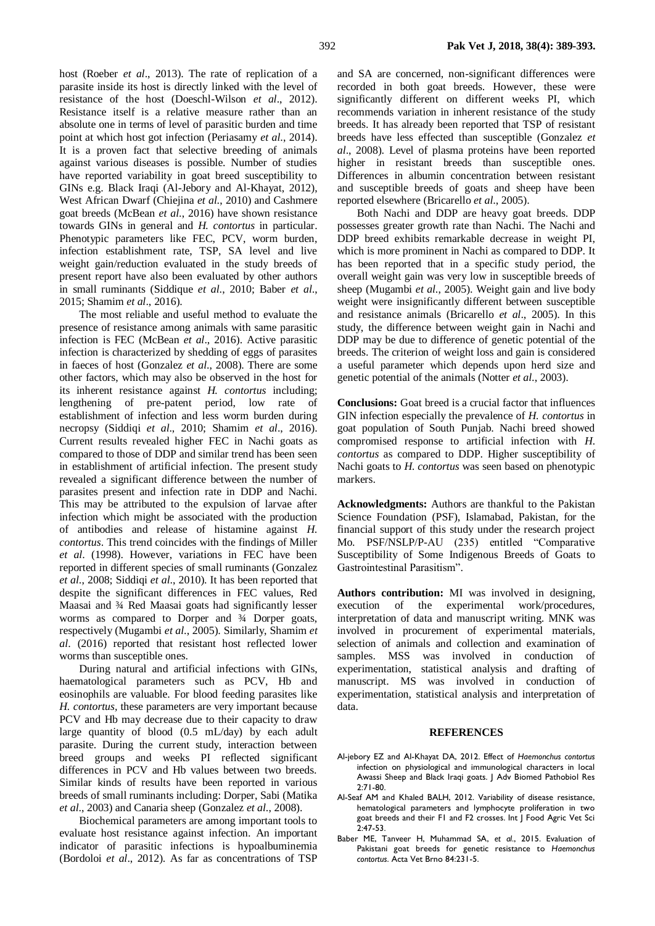host (Roeber *et al*., 2013). The rate of replication of a parasite inside its host is directly linked with the level of resistance of the host (Doeschl-Wilson *et al*., 2012). Resistance itself is a relative measure rather than an absolute one in terms of level of parasitic burden and time point at which host got infection (Periasamy *et al*., 2014). It is a proven fact that selective breeding of animals against various diseases is possible. Number of studies have reported variability in goat breed susceptibility to GINs e.g. Black Iraqi (Al-Jebory and Al-Khayat, 2012), West African Dwarf (Chiejina *et al*., 2010) and Cashmere goat breeds (McBean *et al*., 2016) have shown resistance towards GINs in general and *H. contortus* in particular. Phenotypic parameters like FEC, PCV, worm burden, infection establishment rate, TSP, SA level and live weight gain/reduction evaluated in the study breeds of present report have also been evaluated by other authors in small ruminants (Siddique *et al*., 2010; Baber *et al*., 2015; Shamim *et al*., 2016).

The most reliable and useful method to evaluate the presence of resistance among animals with same parasitic infection is FEC (McBean *et al*., 2016). Active parasitic infection is characterized by shedding of eggs of parasites in faeces of host (Gonzalez *et al*., 2008). There are some other factors, which may also be observed in the host for its inherent resistance against *H. contortus* including; lengthening of pre-patent period, low rate of establishment of infection and less worm burden during necropsy (Siddiqi *et al*., 2010; Shamim *et al*., 2016). Current results revealed higher FEC in Nachi goats as compared to those of DDP and similar trend has been seen in establishment of artificial infection*.* The present study revealed a significant difference between the number of parasites present and infection rate in DDP and Nachi. This may be attributed to the expulsion of larvae after infection which might be associated with the production of antibodies and release of histamine against *H. contortus*. This trend coincides with the findings of Miller *et al*. (1998). However, variations in FEC have been reported in different species of small ruminants (Gonzalez *et al*., 2008; Siddiqi *et al*., 2010). It has been reported that despite the significant differences in FEC values, Red Maasai and ¾ Red Maasai goats had significantly lesser worms as compared to Dorper and ¾ Dorper goats, respectively (Mugambi *et al*., 2005). Similarly, Shamim *et al*. (2016) reported that resistant host reflected lower worms than susceptible ones.

During natural and artificial infections with GINs, haematological parameters such as PCV, Hb and eosinophils are valuable. For blood feeding parasites like *H. contortus,* these parameters are very important because PCV and Hb may decrease due to their capacity to draw large quantity of blood (0.5 mL/day) by each adult parasite. During the current study, interaction between breed groups and weeks PI reflected significant differences in PCV and Hb values between two breeds. Similar kinds of results have been reported in various breeds of small ruminants including: Dorper, Sabi (Matika *et al*., 2003) and Canaria sheep (Gonzalez *et al*., 2008).

Biochemical parameters are among important tools to evaluate host resistance against infection. An important indicator of parasitic infections is hypoalbuminemia (Bordoloi *et al*., 2012). As far as concentrations of TSP and SA are concerned, non-significant differences were recorded in both goat breeds. However, these were significantly different on different weeks PI, which recommends variation in inherent resistance of the study breeds. It has already been reported that TSP of resistant breeds have less effected than susceptible (Gonzalez *et al*., 2008). Level of plasma proteins have been reported higher in resistant breeds than susceptible ones. Differences in albumin concentration between resistant and susceptible breeds of goats and sheep have been reported elsewhere (Bricarello *et al*., 2005).

Both Nachi and DDP are heavy goat breeds. DDP possesses greater growth rate than Nachi. The Nachi and DDP breed exhibits remarkable decrease in weight PI, which is more prominent in Nachi as compared to DDP. It has been reported that in a specific study period, the overall weight gain was very low in susceptible breeds of sheep (Mugambi *et al*., 2005). Weight gain and live body weight were insignificantly different between susceptible and resistance animals (Bricarello *et al*., 2005). In this study, the difference between weight gain in Nachi and DDP may be due to difference of genetic potential of the breeds. The criterion of weight loss and gain is considered a useful parameter which depends upon herd size and genetic potential of the animals (Notter *et al*., 2003).

**Conclusions:** Goat breed is a crucial factor that influences GIN infection especially the prevalence of *H. contortus* in goat population of South Punjab. Nachi breed showed compromised response to artificial infection with *H. contortus* as compared to DDP. Higher susceptibility of Nachi goats to *H. contortus* was seen based on phenotypic markers.

**Acknowledgments:** Authors are thankful to the Pakistan Science Foundation (PSF), Islamabad, Pakistan, for the financial support of this study under the research project Mo. PSF/NSLP/P-AU (235) entitled "Comparative Susceptibility of Some Indigenous Breeds of Goats to Gastrointestinal Parasitism".

**Authors contribution:** MI was involved in designing, execution of the experimental work/procedures, interpretation of data and manuscript writing. MNK was involved in procurement of experimental materials, selection of animals and collection and examination of samples. MSS was involved in conduction of experimentation, statistical analysis and drafting of manuscript. MS was involved in conduction of experimentation, statistical analysis and interpretation of data.

#### **REFERENCES**

- Al-jebory EZ and Al-Khayat DA, 2012. Effect of *Haemonchus contortus* infection on physiological and immunological characters in local Awassi Sheep and Black Iraqi goats. J Adv Biomed Pathobiol Res 2:71-80.
- Al-Seaf AM and Khaled BALH, 2012. Variability of disease resistance, hematological parameters and lymphocyte proliferation in two goat breeds and their F1 and F2 crosses. Int J Food Agric Vet Sci 2:47-53.
- Baber ME, Tanveer H, Muhammad SA, *et al*., 2015. Evaluation of Pakistani goat breeds for genetic resistance to *Haemonchus contortus*. Acta Vet Brno 84:231-5.